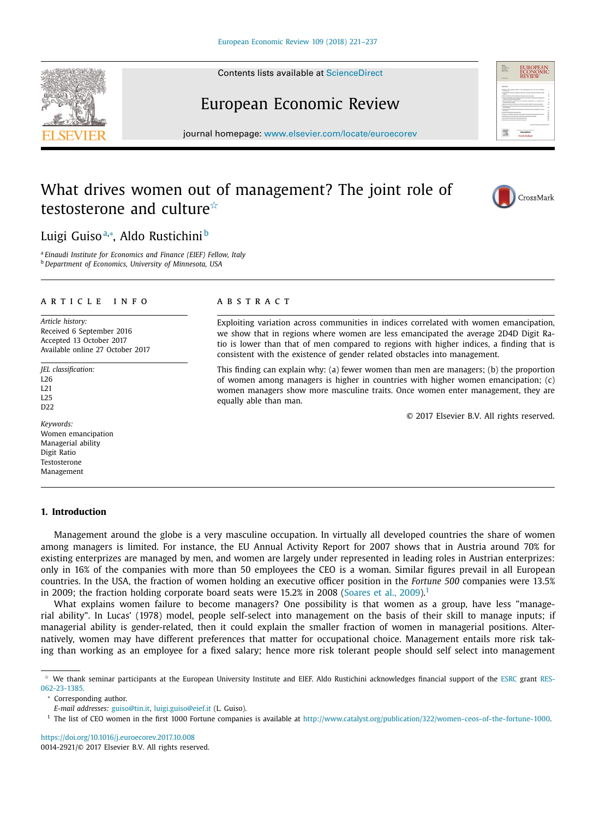Contents lists available at [ScienceDirect](http://www.ScienceDirect.com)

# European Economic Review

journal homepage: [www.elsevier.com/locate/euroecorev](http://www.elsevier.com/locate/euroecorev)

## What drives women out of management? The joint role of testosterone and culture $\dot{\mathbf{z}}$

### Luigi Guiso<sup>a,</sup>\*, Aldo Rustichini<sup>b</sup>

<sup>a</sup> *Einaudi Institute for Economics and Finance (EIEF) Fellow, Italy* <sup>b</sup> *Department of Economics, University of Minnesota, USA*

#### a r t i c l e i n f o

*Article history:* Received 6 September 2016 Accepted 13 October 2017 Available online 27 October 2017

*JEL classification:* L26

L21 L25 D<sub>22</sub>

*Keywords:* Women emancipation Managerial ability Digit Ratio Testosterone Management

#### **1. Introduction**

### Management around the globe is a very masculine occupation. In virtually all developed countries the share of women among managers is limited. For instance, the EU Annual Activity Report for 2007 shows that in Austria around 70% for existing enterprizes are managed by men, and women are largely under represented in leading roles in Austrian enterprizes: only in 16% of the companies with more than 50 employees the CEO is a woman. Similar figures prevail in all European countries. In the USA, the fraction of women holding an executive officer position in the *Fortune 500* companies were 13.5% in 2009; the fraction holding corporate board seats were  $15.2\%$  in 2008 [\(Soares](#page-16-0) et al., 2009).<sup>1</sup>

What explains women failure to become managers? One possibility is that women as a group, have less "managerial ability". In Lucas' (1978) model, people self-select into management on the basis of their skill to manage inputs; if managerial ability is gender-related, then it could explain the smaller fraction of women in managerial positions. Alternatively, women may have different preferences that matter for occupational choice. Management entails more risk taking than working as an employee for a fixed salary; hence more risk tolerant people should self select into management

*E-mail addresses:* [guiso@tin.it,](mailto:guiso@tin.it) [luigi.guiso@eief.it](mailto:luigi.guiso@eief.it) (L. Guiso).

<https://doi.org/10.1016/j.euroecorev.2017.10.008>

0014-2921/© 2017 Elsevier B.V. All rights reserved.







#### A B S T R A C T

Exploiting variation across communities in indices correlated with women emancipation, we show that in regions where women are less emancipated the average 2D4D Digit Ratio is lower than that of men compared to regions with higher indices, a finding that is consistent with the existence of gender related obstacles into management.

This finding can explain why: (a) fewer women than men are managers; (b) the proportion of women among managers is higher in countries with higher women emancipation; (c) women managers show more masculine traits. Once women enter management, they are equally able than man.

© 2017 Elsevier B.V. All rights reserved.

 $*$  We thank seminar participants at the European University Institute and EIEF. Aldo Rustichini acknowledges financial support of the [ESRC](https://doi.org/10.13039/501100000269) grant RES-062-23-1385.

<sup>∗</sup> Corresponding author.

<sup>&</sup>lt;sup>1</sup> The list of CEO women in the first 1000 Fortune companies is available at [http://www.catalyst.org/publication/322/women-ceos-of-the-fortune-1000.](http://www.catalyst.org/publication/322/women-ceos-of-the-fortune-1000)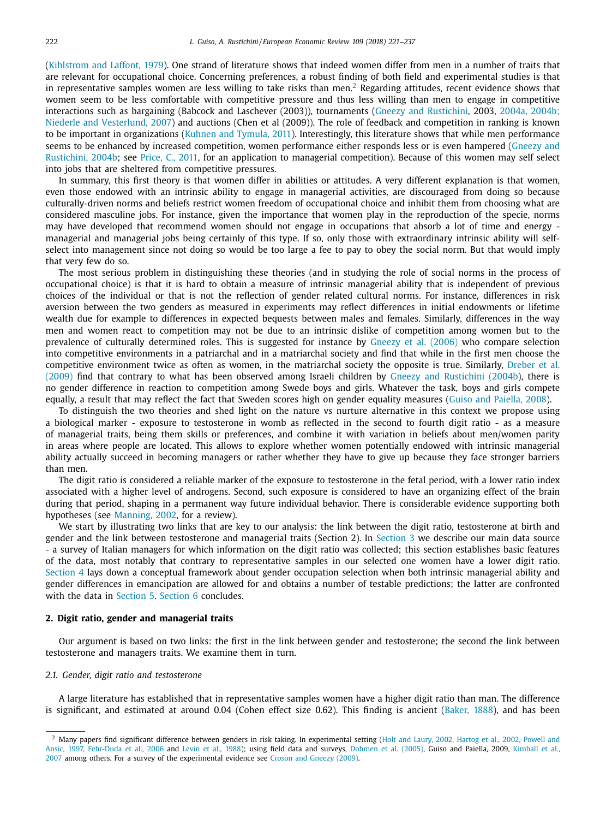<span id="page-1-0"></span>[\(Kihlstrom](#page-16-0) and Laffont, 1979). One strand of literature shows that indeed women differ from men in a number of traits that are relevant for occupational choice. Concerning preferences, a robust finding of both field and experimental studies is that in representative samples women are less willing to take risks than men.<sup>2</sup> Regarding attitudes, recent evidence shows that women seem to be less comfortable with competitive pressure and thus less willing than men to engage in competitive interactions such as bargaining (Babcock and Laschever (2003)), [tournaments](#page-16-0) (Gneezy and [Rustichini,](#page-16-0) 2003, 2004a, 2004b; Niederle and Vesterlund, 2007) and auctions (Chen et al (2009)). The role of feedback and competition in ranking is known to be important in organizations (Kuhnen and [Tymula,](#page-16-0) 2011). Interestingly, this literature shows that while men performance seems to be enhanced by increased competition, women performance either responds less or is even hampered (Gneezy and Rustichini, 2004b; see [Price,](#page-16-0) C., 2011, for an application to managerial [competition\).](#page-16-0) Because of this women may self select into jobs that are sheltered from competitive pressures.

In summary, this first theory is that women differ in abilities or attitudes. A very different explanation is that women, even those endowed with an intrinsic ability to engage in managerial activities, are discouraged from doing so because culturally-driven norms and beliefs restrict women freedom of occupational choice and inhibit them from choosing what are considered masculine jobs. For instance, given the importance that women play in the reproduction of the specie, norms may have developed that recommend women should not engage in occupations that absorb a lot of time and energy managerial and managerial jobs being certainly of this type. If so, only those with extraordinary intrinsic ability will selfselect into management since not doing so would be too large a fee to pay to obey the social norm. But that would imply that very few do so.

The most serious problem in distinguishing these theories (and in studying the role of social norms in the process of occupational choice) is that it is hard to obtain a measure of intrinsic managerial ability that is independent of previous choices of the individual or that is not the reflection of gender related cultural norms. For instance, differences in risk aversion between the two genders as measured in experiments may reflect differences in initial endowments or lifetime wealth due for example to differences in expected bequests between males and females. Similarly, differences in the way men and women react to competition may not be due to an intrinsic dislike of competition among women but to the prevalence of culturally determined roles. This is suggested for instance by [Gneezy](#page-16-0) et al. (2006) who compare selection into competitive environments in a patriarchal and in a matriarchal society and find that while in the first men choose the competitive [environment](#page-16-0) twice as often as women, in the matriarchal society the opposite is true. Similarly, Dreber et al. (2009) find that contrary to what has been observed among Israeli children by Gneezy and [Rustichini](#page-16-0) (2004b), there is no gender difference in reaction to competition among Swede boys and girls. Whatever the task, boys and girls compete equally, a result that may reflect the fact that Sweden scores high on gender equality measures (Guiso and [Paiella,](#page-16-0) 2008).

To distinguish the two theories and shed light on the nature vs nurture alternative in this context we propose using a biological marker - exposure to testosterone in womb as reflected in the second to fourth digit ratio - as a measure of managerial traits, being them skills or preferences, and combine it with variation in beliefs about men/women parity in areas where people are located. This allows to explore whether women potentially endowed with intrinsic managerial ability actually succeed in becoming managers or rather whether they have to give up because they face stronger barriers than men.

The digit ratio is considered a reliable marker of the exposure to testosterone in the fetal period, with a lower ratio index associated with a higher level of androgens. Second, such exposure is considered to have an organizing effect of the brain during that period, shaping in a permanent way future individual behavior. There is considerable evidence supporting both hypotheses (see [Manning,](#page-16-0) 2002, for a review).

We start by illustrating two links that are key to our analysis: the link between the digit ratio, testosterone at birth and gender and the link between testosterone and managerial traits (Section 2). In [Section](#page-4-0) 3 we describe our main data source - a survey of Italian managers for which information on the digit ratio was collected; this section establishes basic features of the data, most notably that contrary to representative samples in our selected one women have a lower digit ratio. [Section](#page-6-0) 4 lays down a conceptual framework about gender occupation selection when both intrinsic managerial ability and gender differences in emancipation are allowed for and obtains a number of testable predictions; the latter are confronted with the data in [Section](#page-14-0) 5. Section 6 concludes.

#### **2. Digit ratio, gender and managerial traits**

Our argument is based on two links: the first in the link between gender and testosterone; the second the link between testosterone and managers traits. We examine them in turn.

#### *2.1. Gender, digit ratio and testosterone*

A large literature has established that in representative samples women have a higher digit ratio than man. The difference is significant, and estimated at around 0.04 (Cohen effect size 0.62). This finding is ancient [\(Baker,](#page-16-0) 1888), and has been

<sup>&</sup>lt;sup>2</sup> Many papers find significant difference between genders in risk taking. In [experimental](#page-16-0) setting (Holt and Laury, 2002, Hartog et al., 2002, Powell and Ansic, 1997, Fehr-Duda et al., 2006 and [Levin](#page-16-0) et al., 1988); using field data and surveys, [Dohmen](#page-16-0) et al. (2005), Guiso and Paiella, 2009, Kimball et al., 2007 among others. For a survey of the [experimental](#page-16-0) evidence see Croson and [Gneezy](#page-16-0) (2009).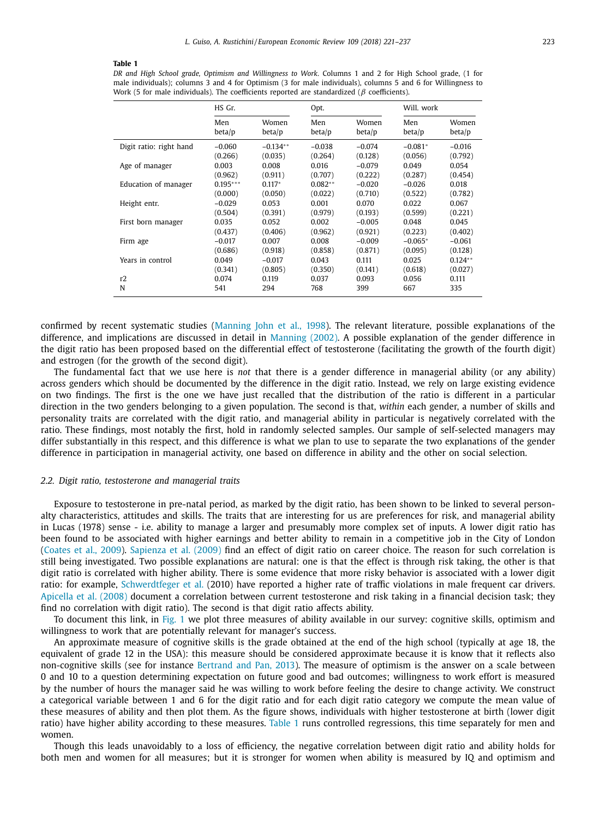*DR and High School grade, Optimism and Willingness to Work.* Columns 1 and 2 for High School grade, (1 for male individuals); columns 3 and 4 for Optimism (3 for male individuals), columns 5 and 6 for Willingness to Work (5 for male individuals). The coefficients reported are standardized ( $\beta$  coefficients).

|                         | HS Gr.        |                 | Opt.          |                 | Will, work    |                 |
|-------------------------|---------------|-----------------|---------------|-----------------|---------------|-----------------|
|                         | Men<br>beta/p | Women<br>beta/p | Men<br>beta/p | Women<br>beta/p | Men<br>beta/p | Women<br>beta/p |
| Digit ratio: right hand | $-0.060$      | $-0.134**$      | $-0.038$      | $-0.074$        | $-0.081*$     | $-0.016$        |
|                         | (0.266)       | (0.035)         | (0.264)       | (0.128)         | (0.056)       | (0.792)         |
| Age of manager          | 0.003         | 0.008           | 0.016         | $-0.079$        | 0.049         | 0.054           |
|                         | (0.962)       | (0.911)         | (0.707)       | (0.222)         | (0.287)       | (0.454)         |
| Education of manager    | $0.195***$    | $0.117*$        | $0.082**$     | $-0.020$        | $-0.026$      | 0.018           |
|                         | (0.000)       | (0.050)         | (0.022)       | (0.710)         | (0.522)       | (0.782)         |
| Height entr.            | $-0.029$      | 0.053           | 0.001         | 0.070           | 0.022         | 0.067           |
|                         | (0.504)       | (0.391)         | (0.979)       | (0.193)         | (0.599)       | (0.221)         |
| First born manager      | 0.035         | 0.052           | 0.002         | $-0.005$        | 0.048         | 0.045           |
|                         | (0.437)       | (0.406)         | (0.962)       | (0.921)         | (0.223)       | (0.402)         |
| Firm age                | $-0.017$      | 0.007           | 0.008         | $-0.009$        | $-0.065*$     | $-0.061$        |
|                         | (0.686)       | (0.918)         | (0.858)       | (0.871)         | (0.095)       | (0.128)         |
| Years in control        | 0.049         | $-0.017$        | 0.043         | 0.111           | 0.025         | $0.124**$       |
|                         | (0.341)       | (0.805)         | (0.350)       | (0.141)         | (0.618)       | (0.027)         |
| r2                      | 0.074         | 0.119           | 0.037         | 0.093           | 0.056         | 0.111           |
| N                       | 541           | 294             | 768           | 399             | 667           | 335             |

confirmed by recent systematic studies [\(Manning](#page-16-0) John et al., 1998). The relevant literature, possible explanations of the difference, and implications are discussed in detail in [Manning](#page-16-0) (2002). A possible explanation of the gender difference in the digit ratio has been proposed based on the differential effect of testosterone (facilitating the growth of the fourth digit) and estrogen (for the growth of the second digit).

The fundamental fact that we use here is *not* that there is a gender difference in managerial ability (or any ability) across genders which should be documented by the difference in the digit ratio. Instead, we rely on large existing evidence on two findings. The first is the one we have just recalled that the distribution of the ratio is different in a particular direction in the two genders belonging to a given population. The second is that, *within* each gender, a number of skills and personality traits are correlated with the digit ratio, and managerial ability in particular is negatively correlated with the ratio. These findings, most notably the first, hold in randomly selected samples. Our sample of self-selected managers may differ substantially in this respect, and this difference is what we plan to use to separate the two explanations of the gender difference in participation in managerial activity, one based on difference in ability and the other on social selection.

#### *2.2. Digit ratio, testosterone and managerial traits*

Exposure to testosterone in pre-natal period, as marked by the digit ratio, has been shown to be linked to several personalty characteristics, attitudes and skills. The traits that are interesting for us are preferences for risk, and managerial ability in Lucas (1978) sense - i.e. ability to manage a larger and presumably more complex set of inputs. A lower digit ratio has been found to be associated with higher earnings and better ability to remain in a competitive job in the City of London [\(Coates](#page-16-0) et al., 2009). [Sapienza](#page-16-0) et al. (2009) find an effect of digit ratio on career choice. The reason for such correlation is still being investigated. Two possible explanations are natural: one is that the effect is through risk taking, the other is that digit ratio is correlated with higher ability. There is some evidence that more risky behavior is associated with a lower digit ratio: for example, [Schwerdtfeger](#page-16-0) et al. (2010) have reported a higher rate of traffic violations in male frequent car drivers. [Apicella](#page-16-0) et al. (2008) document a correlation between current testosterone and risk taking in a financial decision task; they find no correlation with digit ratio). The second is that digit ratio affects ability.

To document this link, in [Fig.](#page-3-0) 1 we plot three measures of ability available in our survey: cognitive skills, optimism and willingness to work that are potentially relevant for manager's success.

An approximate measure of cognitive skills is the grade obtained at the end of the high school (typically at age 18, the equivalent of grade 12 in the USA): this measure should be considered approximate because it is know that it reflects also non-cognitive skills (see for instance [Bertrand](#page-16-0) and Pan, 2013). The measure of optimism is the answer on a scale between 0 and 10 to a question determining expectation on future good and bad outcomes; willingness to work effort is measured by the number of hours the manager said he was willing to work before feeling the desire to change activity. We construct a categorical variable between 1 and 6 for the digit ratio and for each digit ratio category we compute the mean value of these measures of ability and then plot them. As the figure shows, individuals with higher testosterone at birth (lower digit ratio) have higher ability according to these measures. Table 1 runs controlled regressions, this time separately for men and women.

Though this leads unavoidably to a loss of efficiency, the negative correlation between digit ratio and ability holds for both men and women for all measures; but it is stronger for women when ability is measured by IQ and optimism and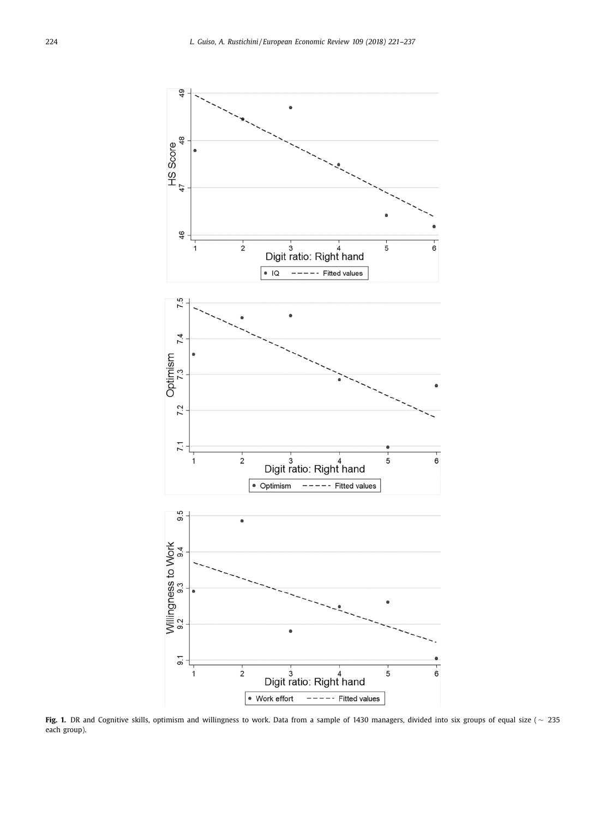<span id="page-3-0"></span>

**Fig. 1.** DR and Cognitive skills, optimism and willingness to work. Data from a sample of 1430 managers, divided into six groups of equal size ( ∼ 235 each group).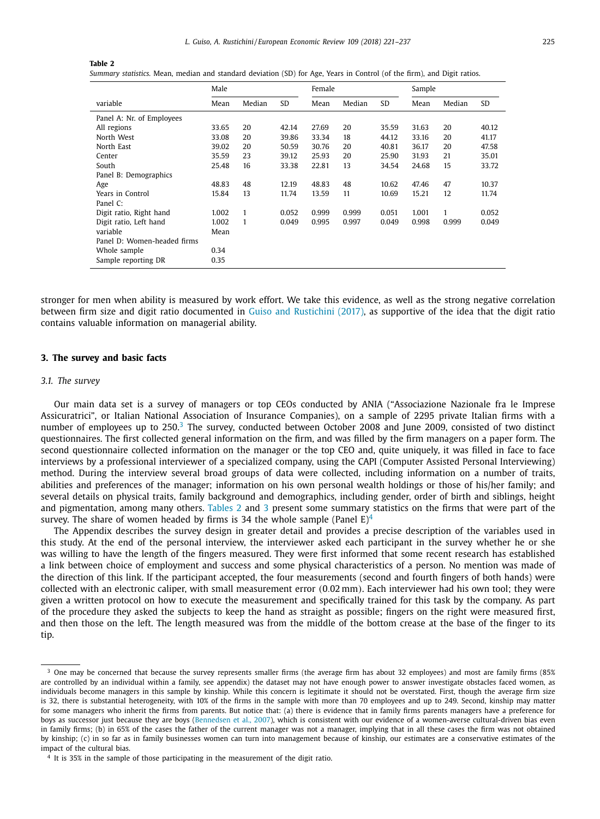<span id="page-4-0"></span>*Summary statistics.* Mean, median and standard deviation (SD) for Age, Years in Control (of the firm), and Digit ratios.

|                             | Male<br>Female |              |           | Sample |        |           |       |        |           |
|-----------------------------|----------------|--------------|-----------|--------|--------|-----------|-------|--------|-----------|
| variable                    | Mean           | Median       | <b>SD</b> | Mean   | Median | <b>SD</b> | Mean  | Median | <b>SD</b> |
| Panel A: Nr. of Employees   |                |              |           |        |        |           |       |        |           |
| All regions                 | 33.65          | 20           | 42.14     | 27.69  | 20     | 35.59     | 31.63 | 20     | 40.12     |
| North West                  | 33.08          | 20           | 39.86     | 33.34  | 18     | 44.12     | 33.16 | 20     | 41.17     |
| North East                  | 39.02          | 20           | 50.59     | 30.76  | 20     | 40.81     | 36.17 | 20     | 47.58     |
| Center                      | 35.59          | 23           | 39.12     | 25.93  | 20     | 25.90     | 31.93 | 21     | 35.01     |
| South                       | 25.48          | 16           | 33.38     | 22.81  | 13     | 34.54     | 24.68 | 15     | 33.72     |
| Panel B: Demographics       |                |              |           |        |        |           |       |        |           |
| Age                         | 48.83          | 48           | 12.19     | 48.83  | 48     | 10.62     | 47.46 | 47     | 10.37     |
| Years in Control            | 15.84          | 13           | 11.74     | 13.59  | 11     | 10.69     | 15.21 | 12     | 11.74     |
| Panel C:                    |                |              |           |        |        |           |       |        |           |
| Digit ratio, Right hand     | 1.002          | 1            | 0.052     | 0.999  | 0.999  | 0.051     | 1.001 | 1      | 0.052     |
| Digit ratio, Left hand      | 1.002          | $\mathbf{1}$ | 0.049     | 0.995  | 0.997  | 0.049     | 0.998 | 0.999  | 0.049     |
| variable                    | Mean           |              |           |        |        |           |       |        |           |
| Panel D: Women-headed firms |                |              |           |        |        |           |       |        |           |
| Whole sample                | 0.34           |              |           |        |        |           |       |        |           |
| Sample reporting DR         | 0.35           |              |           |        |        |           |       |        |           |

stronger for men when ability is measured by work effort. We take this evidence, as well as the strong negative correlation between firm size and digit ratio documented in Guiso and [Rustichini](#page-16-0) (2017), as supportive of the idea that the digit ratio contains valuable information on managerial ability.

#### **3. The survey and basic facts**

#### *3.1. The survey*

Our main data set is a survey of managers or top CEOs conducted by ANIA ("Associazione Nazionale fra le Imprese Assicuratrici", or Italian National Association of Insurance Companies), on a sample of 2295 private Italian firms with a number of employees up to 250.<sup>3</sup> The survey, conducted between October 2008 and June 2009, consisted of two distinct questionnaires. The first collected general information on the firm, and was filled by the firm managers on a paper form. The second questionnaire collected information on the manager or the top CEO and, quite uniquely, it was filled in face to face interviews by a professional interviewer of a specialized company, using the CAPI (Computer Assisted Personal Interviewing) method. During the interview several broad groups of data were collected, including information on a number of traits, abilities and preferences of the manager; information on his own personal wealth holdings or those of his/her family; and several details on physical traits, family background and demographics, including gender, order of birth and siblings, height and pigmentation, among many others. Tables 2 and [3](#page-5-0) present some summary statistics on the firms that were part of the survey. The share of women headed by firms is 34 the whole sample (Panel  $E$ )<sup>4</sup>

The Appendix describes the survey design in greater detail and provides a precise description of the variables used in this study. At the end of the personal interview, the interviewer asked each participant in the survey whether he or she was willing to have the length of the fingers measured. They were first informed that some recent research has established a link between choice of employment and success and some physical characteristics of a person. No mention was made of the direction of this link. If the participant accepted, the four measurements (second and fourth fingers of both hands) were collected with an electronic caliper, with small measurement error (0.02 mm). Each interviewer had his own tool; they were given a written protocol on how to execute the measurement and specifically trained for this task by the company. As part of the procedure they asked the subjects to keep the hand as straight as possible; fingers on the right were measured first, and then those on the left. The length measured was from the middle of the bottom crease at the base of the finger to its tip.

<sup>&</sup>lt;sup>3</sup> One may be concerned that because the survey represents smaller firms (the average firm has about 32 employees) and most are family firms (85% are controlled by an individual within a family, see appendix) the dataset may not have enough power to answer investigate obstacles faced women, as individuals become managers in this sample by kinship. While this concern is legitimate it should not be overstated. First, though the average firm size is 32, there is substantial heterogeneity, with 10% of the firms in the sample with more than 70 employees and up to 249. Second, kinship may matter for some managers who inherit the firms from parents. But notice that: (a) there is evidence that in family firms parents managers have a preference for boys as successor just because they are boys [\(Bennedsen](#page-16-0) et al., 2007), which is consistent with our evidence of a women-averse cultural-driven bias even in family firms; (b) in 65% of the cases the father of the current manager was not a manager, implying that in all these cases the firm was not obtained by kinship; (c) in so far as in family businesses women can turn into management because of kinship, our estimates are a conservative estimates of the impact of the cultural bias.

<sup>4</sup> It is 35% in the sample of those participating in the measurement of the digit ratio.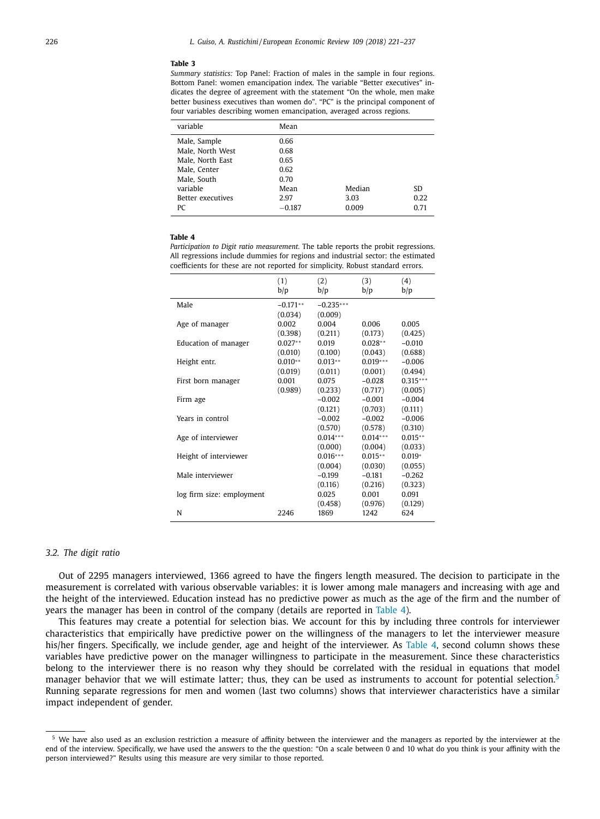<span id="page-5-0"></span>*Summary statistics:* Top Panel: Fraction of males in the sample in four regions. Bottom Panel: women emancipation index. The variable "Better executives" indicates the degree of agreement with the statement "On the whole, men make better business executives than women do". "PC" is the principal component of four variables describing women emancipation, averaged across regions.

| variable          | Mean     |        |      |
|-------------------|----------|--------|------|
| Male, Sample      | 0.66     |        |      |
| Male, North West  | 0.68     |        |      |
| Male, North East  | 0.65     |        |      |
| Male. Center      | 0.62     |        |      |
| Male. South       | 0.70     |        |      |
| variable          | Mean     | Median | SD.  |
| Better executives | 2.97     | 3.03   | 0.22 |
| <sub>PC</sub>     | $-0.187$ | 0.009  | 0.71 |
|                   |          |        |      |

#### **Table 4**

*Participation to Digit ratio measurement.* The table reports the probit regressions. All regressions include dummies for regions and industrial sector: the estimated coefficients for these are not reported for simplicity. Robust standard errors.

|                           | (1)<br>b/p            | (2)<br>b/p             | (3)<br>b/p            | (4)<br>b/p            |
|---------------------------|-----------------------|------------------------|-----------------------|-----------------------|
| Male                      | $-0.171**$<br>(0.034) | $-0.235***$<br>(0.009) |                       |                       |
| Age of manager            | 0.002<br>(0.398)      | 0.004<br>(0.211)       | 0.006<br>(0.173)      | 0.005<br>(0.425)      |
| Education of manager      | $0.027**$<br>(0.010)  | 0.019<br>(0.100)       | $0.028**$<br>(0.043)  | $-0.010$<br>(0.688)   |
| Height entr.              | $0.010**$<br>(0.019)  | $0.013**$<br>(0.011)   | $0.019***$<br>(0.001) | $-0.006$<br>(0.494)   |
| First born manager        | 0.001<br>(0.989)      | 0.075<br>(0.233)       | $-0.028$<br>(0.717)   | $0.315***$<br>(0.005) |
| Firm age                  |                       | $-0.002$<br>(0.121)    | $-0.001$<br>(0.703)   | $-0.004$<br>(0.111)   |
| Years in control          |                       | $-0.002$<br>(0.570)    | $-0.002$<br>(0.578)   | $-0.006$<br>(0.310)   |
| Age of interviewer        |                       | $0.014***$<br>(0.000)  | $0.014***$<br>(0.004) | $0.015**$<br>(0.033)  |
| Height of interviewer     |                       | $0.016***$<br>(0.004)  | $0.015**$<br>(0.030)  | $0.019*$<br>(0.055)   |
| Male interviewer          |                       | $-0.199$<br>(0.116)    | $-0.181$<br>(0.216)   | $-0.262$<br>(0.323)   |
| log firm size: employment |                       | 0.025<br>(0.458)       | 0.001<br>(0.976)      | 0.091<br>(0.129)      |
| N                         | 2246                  | 1869                   | 1242                  | 624                   |

#### *3.2. The digit ratio*

Out of 2295 managers interviewed, 1366 agreed to have the fingers length measured. The decision to participate in the measurement is correlated with various observable variables: it is lower among male managers and increasing with age and the height of the interviewed. Education instead has no predictive power as much as the age of the firm and the number of years the manager has been in control of the company (details are reported in Table 4).

This features may create a potential for selection bias. We account for this by including three controls for interviewer characteristics that empirically have predictive power on the willingness of the managers to let the interviewer measure his/her fingers. Specifically, we include gender, age and height of the interviewer. As Table 4, second column shows these variables have predictive power on the manager willingness to participate in the measurement. Since these characteristics belong to the interviewer there is no reason why they should be correlated with the residual in equations that model manager behavior that we will estimate latter; thus, they can be used as instruments to account for potential selection.<sup>5</sup> Running separate regressions for men and women (last two columns) shows that interviewer characteristics have a similar impact independent of gender.

<sup>&</sup>lt;sup>5</sup> We have also used as an exclusion restriction a measure of affinity between the interviewer and the managers as reported by the interviewer at the end of the interview. Specifically, we have used the answers to the the question: "On a scale between 0 and 10 what do you think is your affinity with the person interviewed?" Results using this measure are very similar to those reported.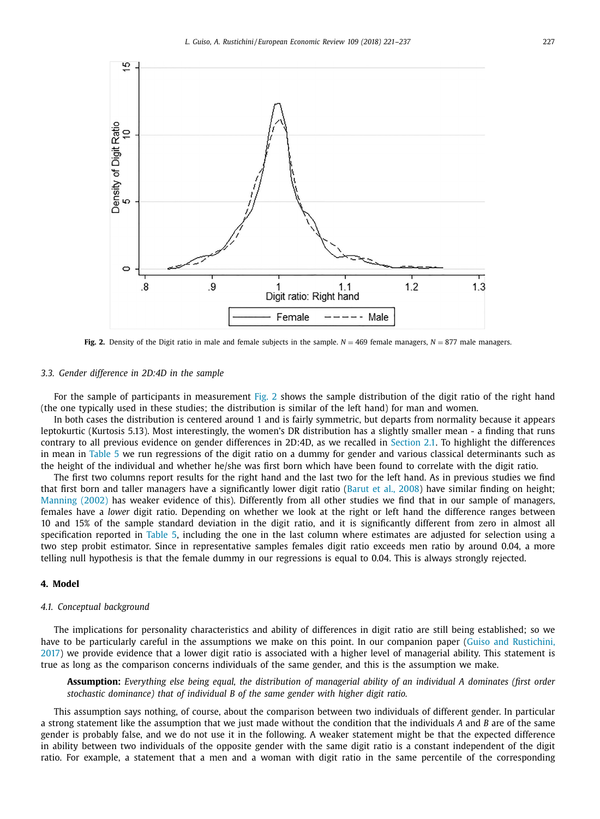<span id="page-6-0"></span>

**Fig. 2.** Density of the Digit ratio in male and female subjects in the sample.  $N = 469$  female managers,  $N = 877$  male managers.

#### *3.3. Gender difference in 2D:4D in the sample*

For the sample of participants in measurement Fig. 2 shows the sample distribution of the digit ratio of the right hand (the one typically used in these studies; the distribution is similar of the left hand) for man and women.

In both cases the distribution is centered around 1 and is fairly symmetric, but departs from normality because it appears leptokurtic (Kurtosis 5.13). Most interestingly, the women's DR distribution has a slightly smaller mean - a finding that runs contrary to all previous evidence on gender differences in 2D:4D, as we recalled in [Section](#page-1-0) 2.1. To highlight the differences in mean in [Table](#page-7-0) 5 we run regressions of the digit ratio on a dummy for gender and various classical determinants such as the height of the individual and whether he/she was first born which have been found to correlate with the digit ratio.

The first two columns report results for the right hand and the last two for the left hand. As in previous studies we find that first born and taller managers have a significantly lower digit ratio [\(Barut](#page-16-0) et al., 2008) have similar finding on height; [Manning](#page-16-0) (2002) has weaker evidence of this). Differently from all other studies we find that in our sample of managers, females have a *lower* digit ratio. Depending on whether we look at the right or left hand the difference ranges between 10 and 15% of the sample standard deviation in the digit ratio, and it is significantly different from zero in almost all specification reported in [Table](#page-7-0) 5, including the one in the last column where estimates are adjusted for selection using a two step probit estimator. Since in representative samples females digit ratio exceeds men ratio by around 0.04, a more telling null hypothesis is that the female dummy in our regressions is equal to 0.04. This is always strongly rejected.

#### **4. Model**

#### *4.1. Conceptual background*

The implications for personality characteristics and ability of differences in digit ratio are still being established; so we have to be particularly careful in the [assumptions](#page-16-0) we make on this point. In our companion paper (Guiso and Rustichini, 2017) we provide evidence that a lower digit ratio is associated with a higher level of managerial ability. This statement is true as long as the comparison concerns individuals of the same gender, and this is the assumption we make.

Assumption: Everything else being equal, the distribution of managerial ability of an individual A dominates (first order *stochastic dominance) that of individual B of the same gender with higher digit ratio.*

This assumption says nothing, of course, about the comparison between two individuals of different gender. In particular a strong statement like the assumption that we just made without the condition that the individuals *A* and *B* are of the same gender is probably false, and we do not use it in the following. A weaker statement might be that the expected difference in ability between two individuals of the opposite gender with the same digit ratio is a constant independent of the digit ratio. For example, a statement that a men and a woman with digit ratio in the same percentile of the corresponding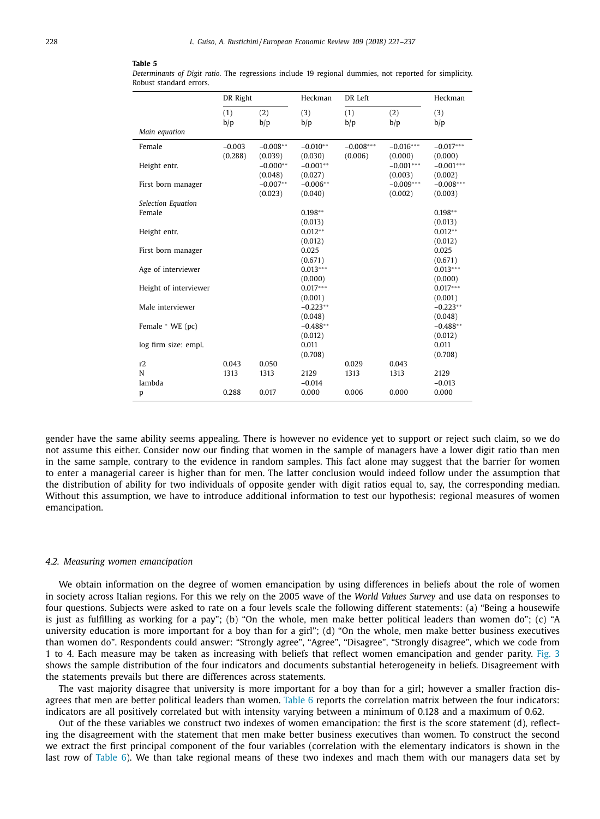<span id="page-7-0"></span>*Determinants of Digit ratio.* The regressions include 19 regional dummies, not reported for simplicity. Robust standard errors.

|                       | DR Right   |            | Heckman    | DR Left     |             | Heckman     |
|-----------------------|------------|------------|------------|-------------|-------------|-------------|
|                       | (1)<br>b/p | (2)<br>b/p | (3)<br>b/p | (1)<br>b/p  | (2)<br>b/p  | (3)<br>b/p  |
| Main equation         |            |            |            |             |             |             |
| Female                | $-0.003$   | $-0.008**$ | $-0.010**$ | $-0.008***$ | $-0.016***$ | $-0.017***$ |
|                       | (0.288)    | (0.039)    | (0.030)    | (0.006)     | (0.000)     | (0.000)     |
| Height entr.          |            | $-0.000**$ | $-0.001**$ |             | $-0.001***$ | $-0.001***$ |
|                       |            | (0.048)    | (0.027)    |             | (0.003)     | (0.002)     |
| First born manager    |            | $-0.007**$ | $-0.006**$ |             | $-0.009***$ | $-0.008***$ |
|                       |            | (0.023)    | (0.040)    |             | (0.002)     | (0.003)     |
| Selection Equation    |            |            |            |             |             |             |
| Female                |            |            | $0.198**$  |             |             | $0.198**$   |
|                       |            |            | (0.013)    |             |             | (0.013)     |
| Height entr.          |            |            | $0.012**$  |             |             | $0.012**$   |
|                       |            |            | (0.012)    |             |             | (0.012)     |
| First born manager    |            |            | 0.025      |             |             | 0.025       |
|                       |            |            | (0.671)    |             |             | (0.671)     |
| Age of interviewer    |            |            | $0.013***$ |             |             | $0.013***$  |
|                       |            |            | (0.000)    |             |             | (0.000)     |
| Height of interviewer |            |            | $0.017***$ |             |             | $0.017***$  |
|                       |            |            | (0.001)    |             |             | (0.001)     |
| Male interviewer      |            |            | $-0.223**$ |             |             | $-0.223**$  |
|                       |            |            | (0.048)    |             |             | (0.048)     |
| Female * WE (pc)      |            |            | $-0.488**$ |             |             | $-0.488**$  |
|                       |            |            | (0.012)    |             |             | (0.012)     |
| log firm size: empl.  |            |            | 0.011      |             |             | 0.011       |
|                       |            |            | (0.708)    |             |             | (0.708)     |
| r2                    | 0.043      | 0.050      |            | 0.029       | 0.043       |             |
| N                     | 1313       | 1313       | 2129       | 1313        | 1313        | 2129        |
| lambda                |            |            | $-0.014$   |             |             | $-0.013$    |
| p                     | 0.288      | 0.017      | 0.000      | 0.006       | 0.000       | 0.000       |

gender have the same ability seems appealing. There is however no evidence yet to support or reject such claim, so we do not assume this either. Consider now our finding that women in the sample of managers have a lower digit ratio than men in the same sample, contrary to the evidence in random samples. This fact alone may suggest that the barrier for women to enter a managerial career is higher than for men. The latter conclusion would indeed follow under the assumption that the distribution of ability for two individuals of opposite gender with digit ratios equal to, say, the corresponding median. Without this assumption, we have to introduce additional information to test our hypothesis: regional measures of women emancipation.

#### *4.2. Measuring women emancipation*

We obtain information on the degree of women emancipation by using differences in beliefs about the role of women in society across Italian regions. For this we rely on the 2005 wave of the *World Values Survey* and use data on responses to four questions. Subjects were asked to rate on a four levels scale the following different statements: (a) "Being a housewife is just as fulfilling as working for a pay"; (b) "On the whole, men make better political leaders than women do"; (c) "A university education is more important for a boy than for a girl"; (d) "On the whole, men make better business executives than women do". Respondents could answer: "Strongly agree", "Agree", "Disagree", "Strongly disagree", which we code from 1 to 4. Each measure may be taken as increasing with beliefs that reflect women emancipation and gender parity. [Fig.](#page-8-0) 3 shows the sample distribution of the four indicators and documents substantial heterogeneity in beliefs. Disagreement with the statements prevails but there are differences across statements.

The vast majority disagree that university is more important for a boy than for a girl; however a smaller fraction dis-agrees that men are better political leaders than women. [Table](#page-8-0) 6 reports the correlation matrix between the four indicators: indicators are all positively correlated but with intensity varying between a minimum of 0.128 and a maximum of 0.62.

Out of the these variables we construct two indexes of women emancipation: the first is the score statement (d), reflecting the disagreement with the statement that men make better business executives than women. To construct the second we extract the first principal component of the four variables (correlation with the elementary indicators is shown in the last row of [Table](#page-8-0) 6). We than take regional means of these two indexes and mach them with our managers data set by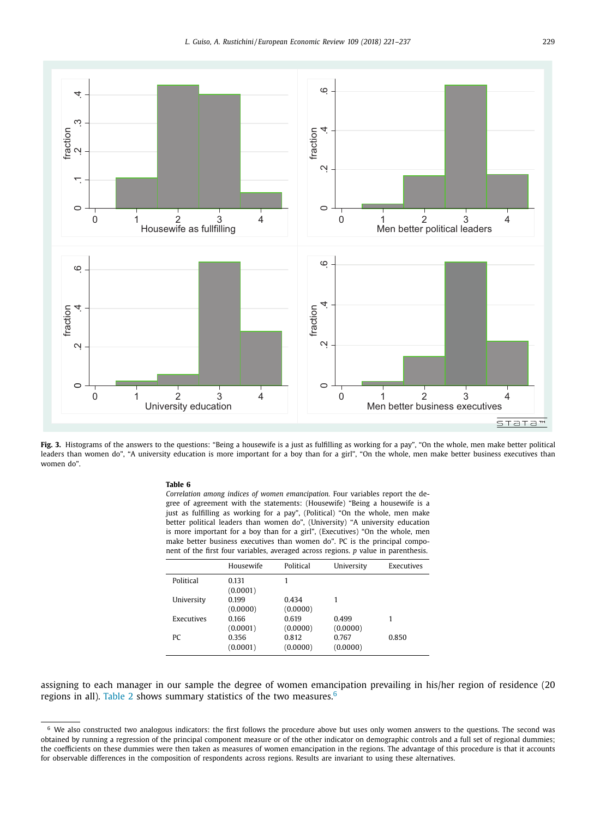<span id="page-8-0"></span>

**Fig. 3.** Histograms of the answers to the questions: "Being a housewife is a just as fulfilling as working for a pay", "On the whole, men make better political leaders than women do", "A university education is more important for a boy than for a girl", "On the whole, men make better business executives than women do".

*Correlation among indices of women emancipation.* Four variables report the degree of agreement with the statements: (Housewife) "Being a housewife is a just as fulfilling as working for a pay", (Political) "On the whole, men make better political leaders than women do", (University) "A university education is more important for a boy than for a girl", (Executives) "On the whole, men make better business executives than women do". PC is the principal component of the first four variables, averaged across regions. *p* value in parenthesis.

|            | Housewife         | Political         | University        | Executives |
|------------|-------------------|-------------------|-------------------|------------|
| Political  | 0.131<br>(0.0001) |                   |                   |            |
| University | 0.199<br>(0.0000) | 0.434<br>(0.0000) |                   |            |
| Executives | 0.166<br>(0.0001) | 0.619<br>(0.0000) | 0.499<br>(0.0000) | 1          |
| PC.        | 0.356<br>(0.0001) | 0.812<br>(0.0000) | 0.767<br>(0.0000) | 0.850      |

assigning to each manager in our sample the degree of women emancipation prevailing in his/her region of residence (20 regions in all). [Table](#page-4-0) 2 shows summary statistics of the two measures.<sup>6</sup>

<sup>6</sup> We also constructed two analogous indicators: the first follows the procedure above but uses only women answers to the questions. The second was obtained by running a regression of the principal component measure or of the other indicator on demographic controls and a full set of regional dummies; the coefficients on these dummies were then taken as measures of women emancipation in the regions. The advantage of this procedure is that it accounts for observable differences in the composition of respondents across regions. Results are invariant to using these alternatives.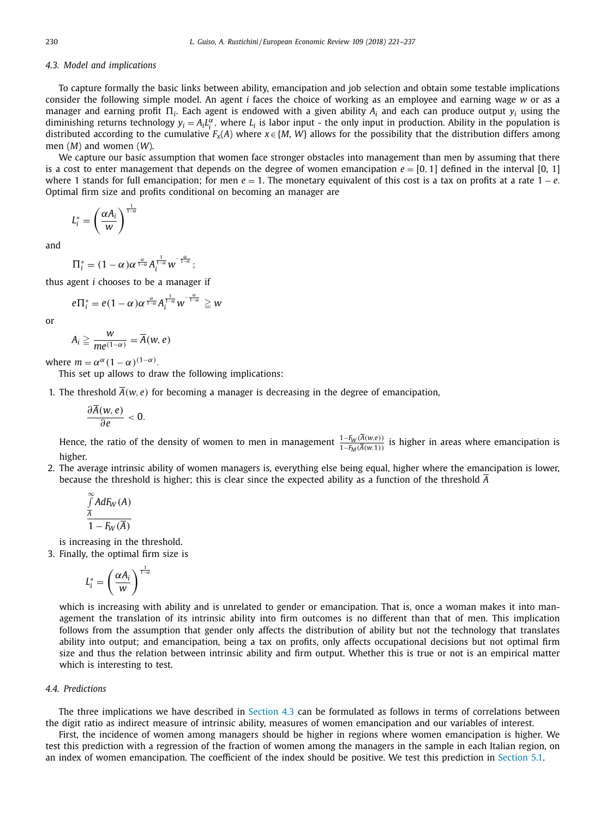#### *4.3. Model and implications*

To capture formally the basic links between ability, emancipation and job selection and obtain some testable implications consider the following simple model. An agent *i* faces the choice of working as an employee and earning wage *w* or as a manager and earning profit  $\Pi_i$ . Each agent is endowed with a given ability  $A_i$  and each can produce output  $y_i$  using the diminishing returns technology  $y_i = A_i L_i^{\alpha}$ , where  $L_i$  is labor input - the only input in production. Ability in the population is distributed according to the cumulative  $F_x(A)$  where  $x \in \{M, W\}$  allows for the possibility that the distribution differs among men (*M*) and women (*W*).

We capture our basic assumption that women face stronger obstacles into management than men by assuming that there is a cost to enter management that depends on the degree of women emancipation  $e = [0, 1]$  defined in the interval [0, 1] where 1 stands for full emancipation; for men *e* = 1. The monetary equivalent of this cost is a tax on profits at a rate 1 − *e*. Optimal firm size and profits conditional on becoming an manager are

$$
L_i^* = \left(\frac{\alpha A_i}{w}\right)^{\frac{1}{1-\alpha}}
$$

and

$$
\Pi_i^* = (1 - \alpha) \alpha^{\frac{\alpha}{1 - \alpha}} A_i^{\frac{1}{1 - \alpha}} w^{-\frac{\alpha}{1 - \alpha}};
$$

thus agent *i* chooses to be a manager if

$$
e\prod_{i}^{*}=e(1-\alpha)\alpha^{\frac{\alpha}{1-\alpha}}A_{i}^{\frac{1}{1-\alpha}}w^{-\frac{\alpha}{1-\alpha}}\geq w
$$

or

$$
A_i \geq \frac{w}{me^{(1-\alpha)}} = \overline{A}(w, e)
$$

where  $m = \alpha^{\alpha} (1 - \alpha)^{(1 - \alpha)}$ .

This set up allows to draw the following implications:

1. The threshold  $\overline{A}(w, e)$  for becoming a manager is decreasing in the degree of emancipation,

$$
\frac{\partial \overline{A}(w,e)}{\partial e} < 0.
$$

Hence, the ratio of the density of women to men in management  $\frac{1-F_W(\overline{A}(w,e))}{1-F_M(\overline{A}(w,1))}$  is higher in areas where emancipation is higher.

2. The average intrinsic ability of women managers is, everything else being equal, higher where the emancipation is lower, because the threshold is higher; this is clear since the expected ability as a function of the threshold  $\overline{A}$ 

$$
\frac{\int\limits_{\overline{A}}^{\infty}AdF_{W}(A)}{1-F_{W}(\overline{A})}
$$

is increasing in the threshold.

3. Finally, the optimal firm size is

$$
L_i^* = \left(\frac{\alpha A_i}{w}\right)^{\frac{1}{1-\alpha}}
$$

which is increasing with ability and is unrelated to gender or emancipation. That is, once a woman makes it into management the translation of its intrinsic ability into firm outcomes is no different than that of men. This implication follows from the assumption that gender only affects the distribution of ability but not the technology that translates ability into output; and emancipation, being a tax on profits, only affects occupational decisions but not optimal firm size and thus the relation between intrinsic ability and firm output. Whether this is true or not is an empirical matter which is interesting to test.

#### *4.4. Predictions*

The three implications we have described in Section 4.3 can be formulated as follows in terms of correlations between the digit ratio as indirect measure of intrinsic ability, measures of women emancipation and our variables of interest.

First, the incidence of women among managers should be higher in regions where women emancipation is higher. We test this prediction with a regression of the fraction of women among the managers in the sample in each Italian region, on an index of women emancipation. The coefficient of the index should be positive. We test this prediction in [Section](#page-10-0) 5.1.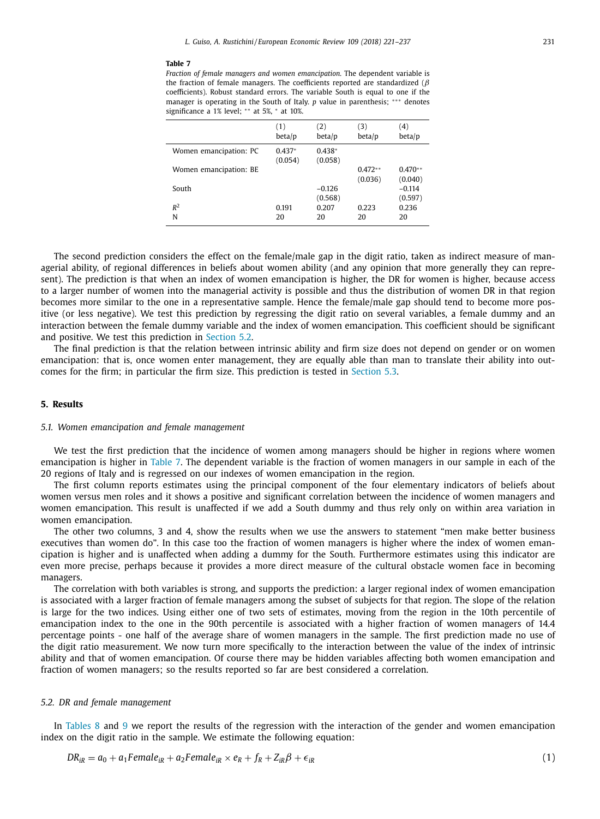<span id="page-10-0"></span>*Fraction of female managers and women emancipation.* The dependent variable is the fraction of female managers. The coefficients reported are standardized ( $\beta$ coefficients). Robust standard errors. The variable South is equal to one if the manager is operating in the South of Italy. *p* value in parenthesis; ∗∗∗ denotes significance a 1% level; ∗∗ at 5%, <sup>∗</sup> at 10%.

|                        | (1)<br>beta/p       | (2)<br>beta/p       | (3)<br>beta/p        | (4)<br>beta/p        |
|------------------------|---------------------|---------------------|----------------------|----------------------|
| Women emancipation: PC | $0.437*$<br>(0.054) | $0.438*$<br>(0.058) |                      |                      |
| Women emancipation: BE |                     |                     | $0.472**$<br>(0.036) | $0.470**$<br>(0.040) |
| South                  |                     | $-0.126$<br>(0.568) |                      | $-0.114$<br>(0.597)  |
| $R^2$<br>N             | 0.191<br>20         | 0.207<br>20         | 0.223<br>20          | 0.236<br>20          |

The second prediction considers the effect on the female/male gap in the digit ratio, taken as indirect measure of managerial ability, of regional differences in beliefs about women ability (and any opinion that more generally they can represent). The prediction is that when an index of women emancipation is higher, the DR for women is higher, because access to a larger number of women into the managerial activity is possible and thus the distribution of women DR in that region becomes more similar to the one in a representative sample. Hence the female/male gap should tend to become more positive (or less negative). We test this prediction by regressing the digit ratio on several variables, a female dummy and an interaction between the female dummy variable and the index of women emancipation. This coefficient should be significant and positive. We test this prediction in Section 5.2.

The final prediction is that the relation between intrinsic ability and firm size does not depend on gender or on women emancipation: that is, once women enter management, they are equally able than man to translate their ability into outcomes for the firm; in particular the firm size. This prediction is tested in [Section](#page-13-0) 5.3.

#### **5. Results**

#### *5.1. Women emancipation and female management*

We test the first prediction that the incidence of women among managers should be higher in regions where women emancipation is higher in Table 7. The dependent variable is the fraction of women managers in our sample in each of the 20 regions of Italy and is regressed on our indexes of women emancipation in the region.

The first column reports estimates using the principal component of the four elementary indicators of beliefs about women versus men roles and it shows a positive and significant correlation between the incidence of women managers and women emancipation. This result is unaffected if we add a South dummy and thus rely only on within area variation in women emancipation.

The other two columns, 3 and 4, show the results when we use the answers to statement "men make better business executives than women do". In this case too the fraction of women managers is higher where the index of women emancipation is higher and is unaffected when adding a dummy for the South. Furthermore estimates using this indicator are even more precise, perhaps because it provides a more direct measure of the cultural obstacle women face in becoming managers.

The correlation with both variables is strong, and supports the prediction: a larger regional index of women emancipation is associated with a larger fraction of female managers among the subset of subjects for that region. The slope of the relation is large for the two indices. Using either one of two sets of estimates, moving from the region in the 10th percentile of emancipation index to the one in the 90th percentile is associated with a higher fraction of women managers of 14.4 percentage points - one half of the average share of women managers in the sample. The first prediction made no use of the digit ratio measurement. We now turn more specifically to the interaction between the value of the index of intrinsic ability and that of women emancipation. Of course there may be hidden variables affecting both women emancipation and fraction of women managers; so the results reported so far are best considered a correlation.

#### *5.2. DR and female management*

In [Tables](#page-11-0) 8 and [9](#page-12-0) we report the results of the regression with the interaction of the gender and women emancipation index on the digit ratio in the sample. We estimate the following equation:

$$
DR_{iR} = a_0 + a_1 Female_{iR} + a_2 Female_{iR} \times e_R + f_R + Z_{iR}\beta + \epsilon_{iR}
$$
\n(1)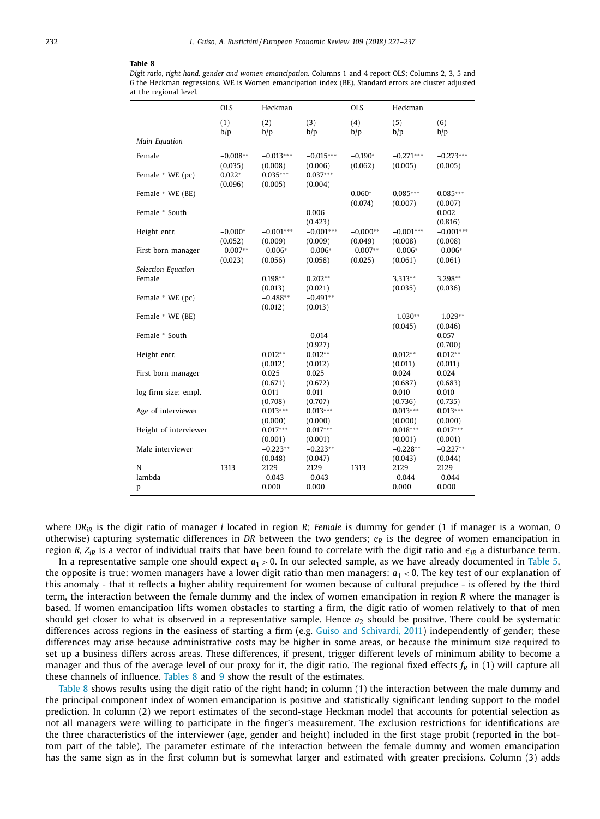<span id="page-11-0"></span>*Digit ratio, right hand, gender and women emancipation.* Columns 1 and 4 report OLS; Columns 2, 3, 5 and 6 the Heckman regressions. WE is Women emancipation index (BE). Standard errors are cluster adjusted at the regional level.

|                              | <b>OLS</b>                        | Heckman                              |                                      | <b>OLS</b>            | Heckman                |                        |
|------------------------------|-----------------------------------|--------------------------------------|--------------------------------------|-----------------------|------------------------|------------------------|
|                              | (1)<br>b/p                        | (2)<br>b/p                           | (3)<br>b/p                           | (4)<br>b/p            | (5)<br>b/p             | (6)<br>b/p             |
| Main Equation                |                                   |                                      |                                      |                       |                        |                        |
| Female<br>Female * WE (pc)   | $-0.008**$<br>(0.035)<br>$0.022*$ | $-0.013***$<br>(0.008)<br>$0.035***$ | $-0.015***$<br>(0.006)<br>$0.037***$ | $-0.190*$<br>(0.062)  | $-0.271***$<br>(0.005) | $-0.273***$<br>(0.005) |
|                              | (0.096)                           | (0.005)                              | (0.004)                              |                       |                        |                        |
| Female * WE (BE)             |                                   |                                      |                                      | $0.060*$<br>(0.074)   | $0.085***$<br>(0.007)  | $0.085***$<br>(0.007)  |
| Female * South               |                                   |                                      | 0.006<br>(0.423)                     |                       |                        | 0.002<br>(0.816)       |
| Height entr.                 | $-0.000*$<br>(0.052)              | $-0.001***$<br>(0.009)               | $-0.001***$<br>(0.009)               | $-0.000**$<br>(0.049) | $-0.001***$<br>(0.008) | $-0.001***$<br>(0.008) |
| First born manager           | $-0.007**$<br>(0.023)             | $-0.006*$<br>(0.056)                 | $-0.006*$<br>(0.058)                 | $-0.007**$<br>(0.025) | $-0.006*$<br>(0.061)   | $-0.006*$<br>(0.061)   |
| Selection Equation<br>Female |                                   | $0.198**$                            | $0.202**$                            |                       | $3.313**$              | 3.298**                |
| Female * WE (pc)             |                                   | (0.013)<br>$-0.488**$                | (0.021)<br>$-0.491**$                |                       | (0.035)                | (0.036)                |
| Female * WE (BE)             |                                   | (0.012)                              | (0.013)                              |                       | $-1.030**$<br>(0.045)  | $-1.029**$<br>(0.046)  |
| Female * South               |                                   |                                      | $-0.014$<br>(0.927)                  |                       |                        | 0.057<br>(0.700)       |
| Height entr.                 |                                   | $0.012**$<br>(0.012)                 | $0.012**$<br>(0.012)                 |                       | $0.012**$<br>(0.011)   | $0.012**$<br>(0.011)   |
| First born manager           |                                   | 0.025<br>(0.671)                     | 0.025<br>(0.672)                     |                       | 0.024<br>(0.687)       | 0.024<br>(0.683)       |
| log firm size: empl.         |                                   | 0.011<br>(0.708)                     | 0.011<br>(0.707)                     |                       | 0.010<br>(0.736)       | 0.010<br>(0.735)       |
| Age of interviewer           |                                   | $0.013***$<br>(0.000)                | $0.013***$<br>(0.000)                |                       | $0.013***$<br>(0.000)  | $0.013***$<br>(0.000)  |
| Height of interviewer        |                                   | $0.017***$<br>(0.001)                | $0.017***$<br>(0.001)                |                       | $0.018***$<br>(0.001)  | $0.017***$<br>(0.001)  |
| Male interviewer             |                                   | $-0.223**$<br>(0.048)                | $-0.223**$<br>(0.047)                |                       | $-0.228**$<br>(0.043)  | $-0.227**$<br>(0.044)  |
| N                            | 1313                              | 2129                                 | 2129                                 | 1313                  | 2129                   | 2129                   |
| lambda<br>p                  |                                   | $-0.043$<br>0.000                    | $-0.043$<br>0.000                    |                       | $-0.044$<br>0.000      | $-0.044$<br>0.000      |

where *DRiR* is the digit ratio of manager *i* located in region *R*; *Female* is dummy for gender (1 if manager is a woman, 0 otherwise) capturing systematic differences in *DR* between the two genders;  $e_R$  is the degree of women emancipation in region *R*,  $Z_{iR}$  is a vector of individual traits that have been found to correlate with the digit ratio and  $\epsilon_{iR}$  a disturbance term.

In a representative sample one should expect  $a_1 > 0$ . In our selected sample, as we have already documented in [Table](#page-7-0) 5, the opposite is true: women managers have a lower digit ratio than men managers:  $a_1 < 0$ . The key test of our explanation of this anomaly - that it reflects a higher ability requirement for women because of cultural prejudice - is offered by the third term, the interaction between the female dummy and the index of women emancipation in region *R* where the manager is based. If women emancipation lifts women obstacles to starting a firm, the digit ratio of women relatively to that of men should get closer to what is observed in a representative sample. Hence  $a_2$  should be positive. There could be systematic differences across regions in the easiness of starting a firm (e.g. Guiso and [Schivardi,](#page-16-0) 2011) independently of gender; these differences may arise because administrative costs may be higher in some areas, or because the minimum size required to set up a business differs across areas. These differences, if present, trigger different levels of minimum ability to become a manager and thus of the average level of our proxy for it, the digit ratio. The regional fixed effects  $f_R$  in (1) will capture all these channels of influence. Tables 8 and [9](#page-12-0) show the result of the estimates.

Table 8 shows results using the digit ratio of the right hand; in column (1) the interaction between the male dummy and the principal component index of women emancipation is positive and statistically significant lending support to the model prediction. In column (2) we report estimates of the second-stage Heckman model that accounts for potential selection as not all managers were willing to participate in the finger's measurement. The exclusion restrictions for identifications are the three characteristics of the interviewer (age, gender and height) included in the first stage probit (reported in the bottom part of the table). The parameter estimate of the interaction between the female dummy and women emancipation has the same sign as in the first column but is somewhat larger and estimated with greater precisions. Column (3) adds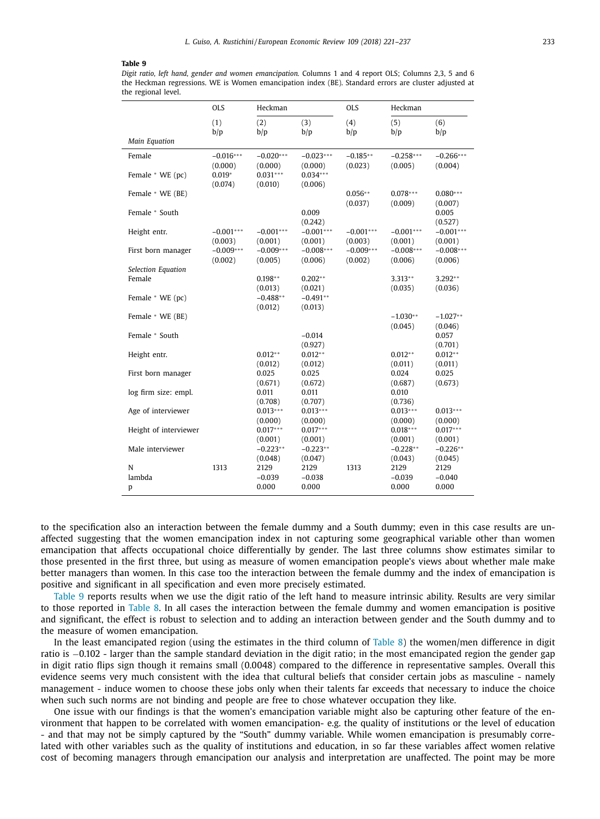<span id="page-12-0"></span>*Digit ratio, left hand, gender and women emancipation.* Columns 1 and 4 report OLS; Columns 2,3, 5 and 6 the Heckman regressions. WE is Women emancipation index (BE). Standard errors are cluster adjusted at the regional level.

|                              | <b>OLS</b>             | Heckman                                |                                        | <b>OLS</b>             | Heckman                                |                                        |
|------------------------------|------------------------|----------------------------------------|----------------------------------------|------------------------|----------------------------------------|----------------------------------------|
|                              | (1)<br>b/p             | (2)<br>b/p                             | (3)<br>b/p                             | (4)<br>b/p             | (5)<br>b/p                             | (6)<br>b/p                             |
| <b>Main Equation</b>         |                        |                                        |                                        |                        |                                        |                                        |
| Female                       | $-0.016***$<br>(0.000) | $-0.020***$<br>(0.000)                 | $-0.023***$<br>(0.000)                 | $-0.185**$<br>(0.023)  | $-0.258***$<br>(0.005)                 | $-0.266***$<br>(0.004)                 |
| Female * WE (pc)             | $0.019*$<br>(0.074)    | $0.031***$<br>(0.010)                  | $0.034***$<br>(0.006)                  |                        |                                        |                                        |
| Female * WE (BE)             |                        |                                        |                                        | $0.056**$<br>(0.037)   | $0.078***$<br>(0.009)                  | $0.080***$<br>(0.007)                  |
| Female * South               |                        |                                        | 0.009<br>(0.242)                       |                        |                                        | 0.005<br>(0.527)                       |
| Height entr.                 | $-0.001***$<br>(0.003) | $-0.001***$<br>(0.001)                 | $-0.001***$<br>(0.001)                 | $-0.001***$<br>(0.003) | $-0.001***$<br>(0.001)                 | $-0.001***$<br>(0.001)                 |
| First born manager           | $-0.009***$<br>(0.002) | $-0.009***$<br>(0.005)                 | $-0.008***$<br>(0.006)                 | $-0.009***$<br>(0.002) | $-0.008***$<br>(0.006)                 | $-0.008***$<br>(0.006)                 |
| Selection Equation<br>Female |                        | $0.198**$                              | $0.202**$                              |                        | $3.313**$                              | $3.292**$                              |
| Female * WE (pc)             |                        | (0.013)<br>$-0.488**$                  | (0.021)<br>$-0.491**$                  |                        | (0.035)                                | (0.036)                                |
| Female * WE (BE)             |                        | (0.012)                                | (0.013)                                |                        | $-1.030**$<br>(0.045)                  | $-1.027**$<br>(0.046)                  |
| Female * South               |                        |                                        | $-0.014$<br>(0.927)                    |                        |                                        | 0.057<br>(0.701)                       |
| Height entr.                 |                        | $0.012**$<br>(0.012)                   | $0.012**$<br>(0.012)                   |                        | $0.012**$<br>(0.011)                   | $0.012**$<br>(0.011)                   |
| First born manager           |                        | 0.025<br>(0.671)                       | 0.025<br>(0.672)                       |                        | 0.024<br>(0.687)                       | 0.025<br>(0.673)                       |
| log firm size: empl.         |                        | 0.011<br>(0.708)                       | 0.011<br>(0.707)                       |                        | 0.010<br>(0.736)                       |                                        |
| Age of interviewer           |                        | $0.013***$                             | $0.013***$                             |                        | $0.013***$                             | $0.013***$                             |
| Height of interviewer        |                        | $0.017***$                             | $0.017***$                             |                        | $0.018***$                             | $0.017***$                             |
| Male interviewer             |                        | $-0.223**$                             | $-0.223**$                             |                        | $-0.228**$                             | $-0.226**$                             |
| ${\bf N}$                    | 1313                   | 2129                                   | 2129                                   | 1313                   | 2129                                   | 2129                                   |
| lambda                       |                        | $-0.039$                               | $-0.038$                               |                        | $-0.039$                               | $-0.040$                               |
| p                            |                        | (0.000)<br>(0.001)<br>(0.048)<br>0.000 | (0.000)<br>(0.001)<br>(0.047)<br>0.000 |                        | (0.000)<br>(0.001)<br>(0.043)<br>0.000 | (0.000)<br>(0.001)<br>(0.045)<br>0.000 |

to the specification also an interaction between the female dummy and a South dummy; even in this case results are unaffected suggesting that the women emancipation index in not capturing some geographical variable other than women emancipation that affects occupational choice differentially by gender. The last three columns show estimates similar to those presented in the first three, but using as measure of women emancipation people's views about whether male make better managers than women. In this case too the interaction between the female dummy and the index of emancipation is positive and significant in all specification and even more precisely estimated.

Table 9 reports results when we use the digit ratio of the left hand to measure intrinsic ability. Results are very similar to those reported in [Table](#page-11-0) 8. In all cases the interaction between the female dummy and women emancipation is positive and significant, the effect is robust to selection and to adding an interaction between gender and the South dummy and to the measure of women emancipation.

In the least emancipated region (using the estimates in the third column of [Table](#page-11-0) 8) the women/men difference in digit ratio is −0.102 - larger than the sample standard deviation in the digit ratio; in the most emancipated region the gender gap in digit ratio flips sign though it remains small (0.0048) compared to the difference in representative samples. Overall this evidence seems very much consistent with the idea that cultural beliefs that consider certain jobs as masculine - namely management - induce women to choose these jobs only when their talents far exceeds that necessary to induce the choice when such such norms are not binding and people are free to chose whatever occupation they like.

One issue with our findings is that the women's emancipation variable might also be capturing other feature of the environment that happen to be correlated with women emancipation- e.g. the quality of institutions or the level of education - and that may not be simply captured by the "South" dummy variable. While women emancipation is presumably correlated with other variables such as the quality of institutions and education, in so far these variables affect women relative cost of becoming managers through emancipation our analysis and interpretation are unaffected. The point may be more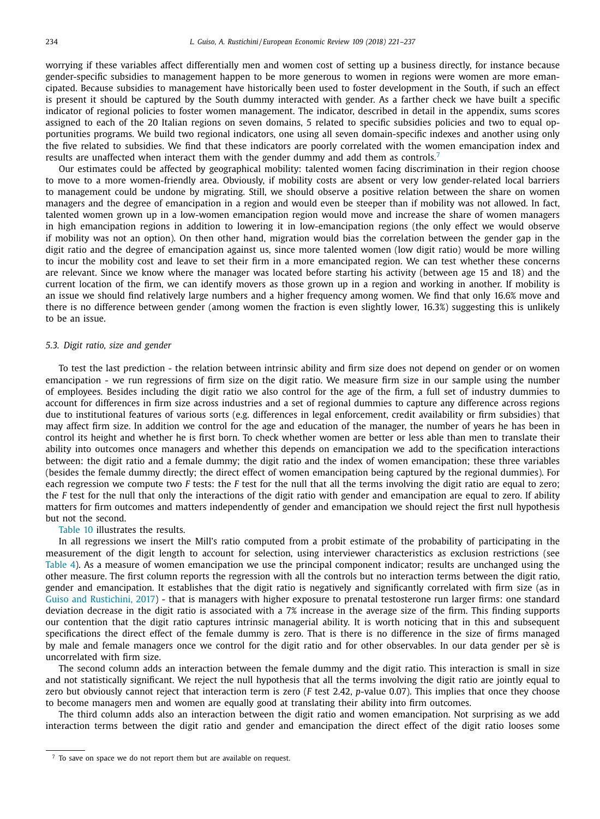<span id="page-13-0"></span>worrying if these variables affect differentially men and women cost of setting up a business directly, for instance because gender-specific subsidies to management happen to be more generous to women in regions were women are more emancipated. Because subsidies to management have historically been used to foster development in the South, if such an effect is present it should be captured by the South dummy interacted with gender. As a farther check we have built a specific indicator of regional policies to foster women management. The indicator, described in detail in the appendix, sums scores assigned to each of the 20 Italian regions on seven domains, 5 related to specific subsidies policies and two to equal opportunities programs. We build two regional indicators, one using all seven domain-specific indexes and another using only the five related to subsidies. We find that these indicators are poorly correlated with the women emancipation index and results are unaffected when interact them with the gender dummy and add them as controls.<sup>7</sup>

Our estimates could be affected by geographical mobility: talented women facing discrimination in their region choose to move to a more women-friendly area. Obviously, if mobility costs are absent or very low gender-related local barriers to management could be undone by migrating. Still, we should observe a positive relation between the share on women managers and the degree of emancipation in a region and would even be steeper than if mobility was not allowed. In fact, talented women grown up in a low-women emancipation region would move and increase the share of women managers in high emancipation regions in addition to lowering it in low-emancipation regions (the only effect we would observe if mobility was not an option). On then other hand, migration would bias the correlation between the gender gap in the digit ratio and the degree of emancipation against us, since more talented women (low digit ratio) would be more willing to incur the mobility cost and leave to set their firm in a more emancipated region. We can test whether these concerns are relevant. Since we know where the manager was located before starting his activity (between age 15 and 18) and the current location of the firm, we can identify movers as those grown up in a region and working in another. If mobility is an issue we should find relatively large numbers and a higher frequency among women. We find that only 16.6% move and there is no difference between gender (among women the fraction is even slightly lower, 16.3%) suggesting this is unlikely to be an issue.

#### *5.3. Digit ratio, size and gender*

To test the last prediction - the relation between intrinsic ability and firm size does not depend on gender or on women emancipation - we run regressions of firm size on the digit ratio. We measure firm size in our sample using the number of employees. Besides including the digit ratio we also control for the age of the firm, a full set of industry dummies to account for differences in firm size across industries and a set of regional dummies to capture any difference across regions due to institutional features of various sorts (e.g. differences in legal enforcement, credit availability or firm subsidies) that may affect firm size. In addition we control for the age and education of the manager, the number of years he has been in control its height and whether he is first born. To check whether women are better or less able than men to translate their ability into outcomes once managers and whether this depends on emancipation we add to the specification interactions between: the digit ratio and a female dummy; the digit ratio and the index of women emancipation; these three variables (besides the female dummy directly; the direct effect of women emancipation being captured by the regional dummies). For each regression we compute two *F* tests: the *F* test for the null that all the terms involving the digit ratio are equal to zero; the *F* test for the null that only the interactions of the digit ratio with gender and emancipation are equal to zero. If ability matters for firm outcomes and matters independently of gender and emancipation we should reject the first null hypothesis but not the second.

### [Table](#page-14-0) 10 illustrates the results.

In all regressions we insert the Mill's ratio computed from a probit estimate of the probability of participating in the measurement of the digit length to account for selection, using interviewer characteristics as exclusion restrictions (see [Table](#page-5-0) 4). As a measure of women emancipation we use the principal component indicator; results are unchanged using the other measure. The first column reports the regression with all the controls but no interaction terms between the digit ratio, gender and emancipation. It establishes that the digit ratio is negatively and significantly correlated with firm size (as in Guiso and [Rustichini,](#page-16-0) 2017) - that is managers with higher exposure to prenatal testosterone run larger firms: one standard deviation decrease in the digit ratio is associated with a 7% increase in the average size of the firm. This finding supports our contention that the digit ratio captures intrinsic managerial ability. It is worth noticing that in this and subsequent specifications the direct effect of the female dummy is zero. That is there is no difference in the size of firms managed by male and female managers once we control for the digit ratio and for other observables. In our data gender per sè is uncorrelated with firm size.

The second column adds an interaction between the female dummy and the digit ratio. This interaction is small in size and not statistically significant. We reject the null hypothesis that all the terms involving the digit ratio are jointly equal to zero but obviously cannot reject that interaction term is zero (*F* test 2.42, *p*-value 0.07). This implies that once they choose to become managers men and women are equally good at translating their ability into firm outcomes.

The third column adds also an interaction between the digit ratio and women emancipation. Not surprising as we add interaction terms between the digit ratio and gender and emancipation the direct effect of the digit ratio looses some

 $7$  To save on space we do not report them but are available on request.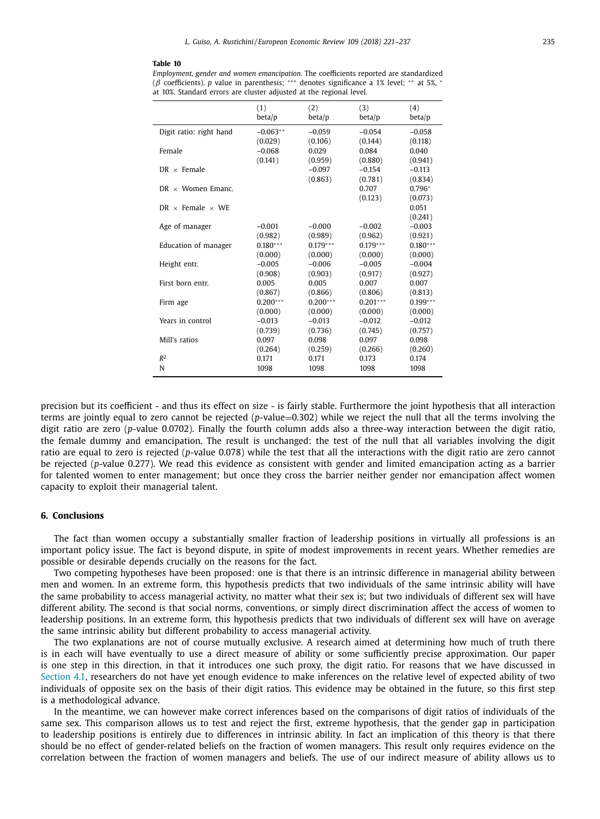<span id="page-14-0"></span>*Employment, gender and women emancipation.* The coefficients reported are standardized (β coefficients). *p* value in parenthesis; ∗∗∗ denotes significance a 1% level; ∗∗ at 5%, <sup>∗</sup> at 10%. Standard errors are cluster adjusted at the regional level.

|                                | (1)<br>beta/p       | (2)<br>beta/p       | (3)<br>beta/p       | (4)<br>beta/p       |
|--------------------------------|---------------------|---------------------|---------------------|---------------------|
| Digit ratio: right hand        | $-0.063**$          | $-0.059$            | $-0.054$            | $-0.058$            |
| Female                         | (0.029)<br>$-0.068$ | (0.106)<br>0.029    | (0.144)<br>0.084    | (0.118)<br>0.040    |
|                                | (0.141)             | (0.959)             | (0.880)             | (0.941)             |
| $DR \times$ Female             |                     | $-0.097$            | $-0.154$            | $-0.113$            |
|                                |                     | (0.863)             | (0.781)             | (0.834)             |
| $DR \times$ Women Emanc.       |                     |                     | 0.707               | $0.796*$            |
|                                |                     |                     | (0.123)             | (0.073)             |
| DR $\times$ Female $\times$ WE |                     |                     |                     | 0.051               |
|                                |                     |                     |                     | (0.241)             |
| Age of manager                 | $-0.001$            | $-0.000$            | $-0.002$            | $-0.003$            |
|                                | (0.982)             | (0.989)             | (0.962)             | (0.921)             |
| Education of manager           | $0.180***$          | $0.179***$          | $0.179***$          | $0.180***$          |
|                                | (0.000)             | (0.000)             | (0.000)             | (0.000)             |
| Height entr.                   | $-0.005$            | $-0.006$            | $-0.005$            | $-0.004$            |
|                                | (0.908)             | (0.903)             | (0.917)             | (0.927)             |
| First born entr.               | 0.005               | 0.005               | 0.007               | 0.007               |
|                                | (0.867)             | (0.866)             | (0.806)             | (0.813)             |
| Firm age                       | $0.200***$          | $0.200***$          | $0.201***$          | $0.199***$          |
| Years in control               | (0.000)<br>$-0.013$ | (0.000)<br>$-0.013$ | (0.000)<br>$-0.012$ | (0.000)<br>$-0.012$ |
|                                |                     | (0.736)             | (0.745)             | (0.757)             |
| Mill's ratios                  | (0.739)<br>0.097    | 0.098               | 0.097               | 0.098               |
|                                | (0.264)             | (0.259)             | (0.266)             | (0.260)             |
| $R^2$                          | 0.171               | 0.171               | 0.173               | 0.174               |
| N                              | 1098                | 1098                | 1098                | 1098                |
|                                |                     |                     |                     |                     |

precision but its coefficient - and thus its effect on size - is fairly stable. Furthermore the joint hypothesis that all interaction terms are jointly equal to zero cannot be rejected (*p*-value=0.302) while we reject the null that all the terms involving the digit ratio are zero (*p*-value 0.0702). Finally the fourth column adds also a three-way interaction between the digit ratio, the female dummy and emancipation. The result is unchanged: the test of the null that all variables involving the digit ratio are equal to zero is rejected (*p*-value 0.078) while the test that all the interactions with the digit ratio are zero cannot be rejected (*p*-value 0.277). We read this evidence as consistent with gender and limited emancipation acting as a barrier for talented women to enter management; but once they cross the barrier neither gender nor emancipation affect women capacity to exploit their managerial talent.

#### **6. Conclusions**

The fact than women occupy a substantially smaller fraction of leadership positions in virtually all professions is an important policy issue. The fact is beyond dispute, in spite of modest improvements in recent years. Whether remedies are possible or desirable depends crucially on the reasons for the fact.

Two competing hypotheses have been proposed: one is that there is an intrinsic difference in managerial ability between men and women. In an extreme form, this hypothesis predicts that two individuals of the same intrinsic ability will have the same probability to access managerial activity, no matter what their sex is; but two individuals of different sex will have different ability. The second is that social norms, conventions, or simply direct discrimination affect the access of women to leadership positions. In an extreme form, this hypothesis predicts that two individuals of different sex will have on average the same intrinsic ability but different probability to access managerial activity.

The two explanations are not of course mutually exclusive. A research aimed at determining how much of truth there is in each will have eventually to use a direct measure of ability or some sufficiently precise approximation. Our paper is one step in this direction, in that it introduces one such proxy, the digit ratio. For reasons that we have discussed in [Section](#page-6-0) 4.1, researchers do not have yet enough evidence to make inferences on the relative level of expected ability of two individuals of opposite sex on the basis of their digit ratios. This evidence may be obtained in the future, so this first step is a methodological advance.

In the meantime, we can however make correct inferences based on the comparisons of digit ratios of individuals of the same sex. This comparison allows us to test and reject the first, extreme hypothesis, that the gender gap in participation to leadership positions is entirely due to differences in intrinsic ability. In fact an implication of this theory is that there should be no effect of gender-related beliefs on the fraction of women managers. This result only requires evidence on the correlation between the fraction of women managers and beliefs. The use of our indirect measure of ability allows us to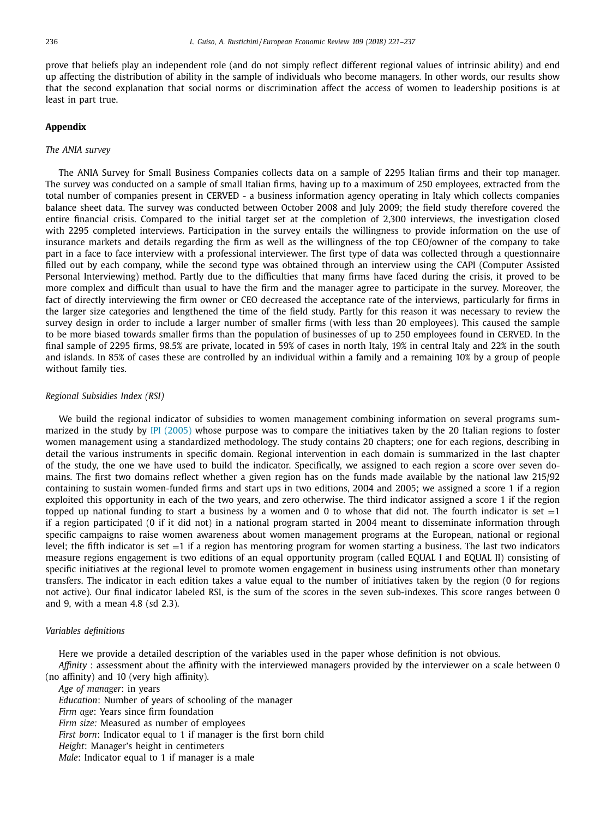prove that beliefs play an independent role (and do not simply reflect different regional values of intrinsic ability) and end up affecting the distribution of ability in the sample of individuals who become managers. In other words, our results show that the second explanation that social norms or discrimination affect the access of women to leadership positions is at least in part true.

#### **Appendix**

#### *The ANIA survey*

The ANIA Survey for Small Business Companies collects data on a sample of 2295 Italian firms and their top manager. The survey was conducted on a sample of small Italian firms, having up to a maximum of 250 employees, extracted from the total number of companies present in CERVED - a business information agency operating in Italy which collects companies balance sheet data. The survey was conducted between October 2008 and July 2009; the field study therefore covered the entire financial crisis. Compared to the initial target set at the completion of 2,300 interviews, the investigation closed with 2295 completed interviews. Participation in the survey entails the willingness to provide information on the use of insurance markets and details regarding the firm as well as the willingness of the top CEO/owner of the company to take part in a face to face interview with a professional interviewer. The first type of data was collected through a questionnaire filled out by each company, while the second type was obtained through an interview using the CAPI (Computer Assisted Personal Interviewing) method. Partly due to the difficulties that many firms have faced during the crisis, it proved to be more complex and difficult than usual to have the firm and the manager agree to participate in the survey. Moreover, the fact of directly interviewing the firm owner or CEO decreased the acceptance rate of the interviews, particularly for firms in the larger size categories and lengthened the time of the field study. Partly for this reason it was necessary to review the survey design in order to include a larger number of smaller firms (with less than 20 employees). This caused the sample to be more biased towards smaller firms than the population of businesses of up to 250 employees found in CERVED. In the final sample of 2295 firms, 98.5% are private, located in 59% of cases in north Italy, 19% in central Italy and 22% in the south and islands. In 85% of cases these are controlled by an individual within a family and a remaining 10% by a group of people without family ties.

#### *Regional Subsidies Index (RSI)*

We build the regional indicator of subsidies to women management combining information on several programs summarized in the study by IPI [\(2005\)](#page-16-0) whose purpose was to compare the initiatives taken by the 20 Italian regions to foster women management using a standardized methodology. The study contains 20 chapters; one for each regions, describing in detail the various instruments in specific domain. Regional intervention in each domain is summarized in the last chapter of the study, the one we have used to build the indicator. Specifically, we assigned to each region a score over seven domains. The first two domains reflect whether a given region has on the funds made available by the national law 215/92 containing to sustain women-funded firms and start ups in two editions, 2004 and 2005; we assigned a score 1 if a region exploited this opportunity in each of the two years, and zero otherwise. The third indicator assigned a score 1 if the region topped up national funding to start a business by a women and 0 to whose that did not. The fourth indicator is set  $=1$ if a region participated (0 if it did not) in a national program started in 2004 meant to disseminate information through specific campaigns to raise women awareness about women management programs at the European, national or regional level; the fifth indicator is set  $=1$  if a region has mentoring program for women starting a business. The last two indicators measure regions engagement is two editions of an equal opportunity program (called EQUAL I and EQUAL II) consisting of specific initiatives at the regional level to promote women engagement in business using instruments other than monetary transfers. The indicator in each edition takes a value equal to the number of initiatives taken by the region (0 for regions not active). Our final indicator labeled RSI, is the sum of the scores in the seven sub-indexes. This score ranges between 0 and 9, with a mean 4.8 (sd 2.3).

#### *Variables definitions*

Here we provide a detailed description of the variables used in the paper whose definition is not obvious.

*Affinity* : assessment about the affinity with the interviewed managers provided by the interviewer on a scale between 0 (no affinity) and 10 (very high affinity).

*Age of manager*: in years *Education*: Number of years of schooling of the manager *Firm age*: Years since firm foundation *Firm size:* Measured as number of employees *First born*: Indicator equal to 1 if manager is the first born child *Height*: Manager's height in centimeters *Male*: Indicator equal to 1 if manager is a male